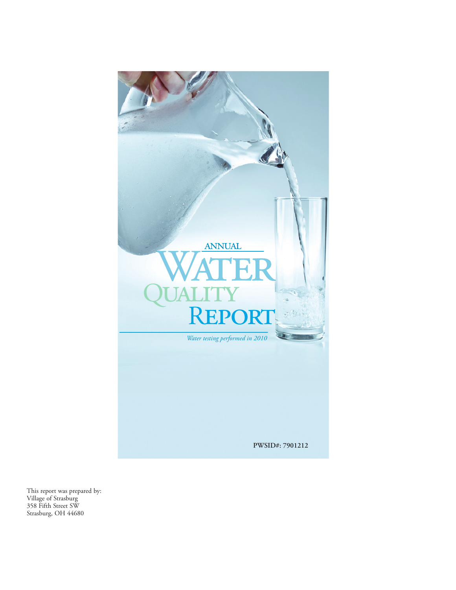

This report was prepared by: Village of Strasburg 358 Fifth Street SW Strasburg, OH 44680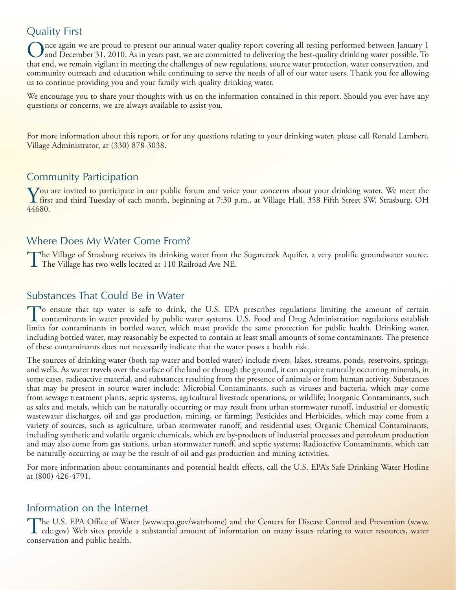## Quality First

Once again we are proud to present our annual water quality report covering all testing performed between January 1 and December 31, 2010. As in years past, we are committed to delivering the best-quality drinking water possible. To that end, we remain vigilant in meeting the challenges of new regulations, source water protection, water conservation, and community outreach and education while continuing to serve the needs of all of our water users. Thank you for allowing us to continue providing you and your family with quality drinking water.

We encourage you to share your thoughts with us on the information contained in this report. Should you ever have any questions or concerns, we are always available to assist you.

For more information about this report, or for any questions relating to your drinking water, please call Ronald Lambert, Village Administrator, at (330) 878-3038.

## Community Participation

You are invited to participate in our public forum and voice your concerns about your drinking water. We meet the<br>first and third Tuesday of each month, beginning at 7:30 p.m., at Village Hall, 358 Fifth Street SW, Strasbu 44680.

### Where Does My Water Come From?

The Village of Strasburg receives its drinking water from the Sugarcreek Aquifer, a very prolific groundwater source. The Village has two wells located at 110 Railroad Ave NE.

#### Substances That Could Be in Water

To ensure that tap water is safe to drink, the U.S. EPA prescribes regulations limiting the amount of certain contaminants in water provided by public water systems. U.S. Food and Drug Administration regulations establish limits for contaminants in bottled water, which must provide the same protection for public health. Drinking water, including bottled water, may reasonably be expected to contain at least small amounts of some contaminants. The presence of these contaminants does not necessarily indicate that the water poses a health risk.

The sources of drinking water (both tap water and bottled water) include rivers, lakes, streams, ponds, reservoirs, springs, and wells. As water travels over the surface of the land or through the ground, it can acquire naturally occurring minerals, in some cases, radioactive material, and substances resulting from the presence of animals or from human activity. Substances that may be present in source water include: Microbial Contaminants, such as viruses and bacteria, which may come from sewage treatment plants, septic systems, agricultural livestock operations, or wildlife; Inorganic Contaminants, such as salts and metals, which can be naturally occurring or may result from urban stormwater runoff, industrial or domestic wastewater discharges, oil and gas production, mining, or farming; Pesticides and Herbicides, which may come from a variety of sources, such as agriculture, urban stormwater runoff, and residential uses; Organic Chemical Contaminants, including synthetic and volatile organic chemicals, which are by-products of industrial processes and petroleum production and may also come from gas stations, urban stormwater runoff, and septic systems; Radioactive Contaminants, which can be naturally occurring or may be the result of oil and gas production and mining activities.

For more information about contaminants and potential health effects, call the U.S. EPA's Safe Drinking Water Hotline at (800) 426-4791.

### Information on the Internet

The U.S. EPA Office of Water (www.epa.gov/watrhome) and the Centers for Disease Control and Prevention (www.<br>cdc.gov) Web sites provide a substantial amount of information on many issues relating to water resources, water conservation and public health.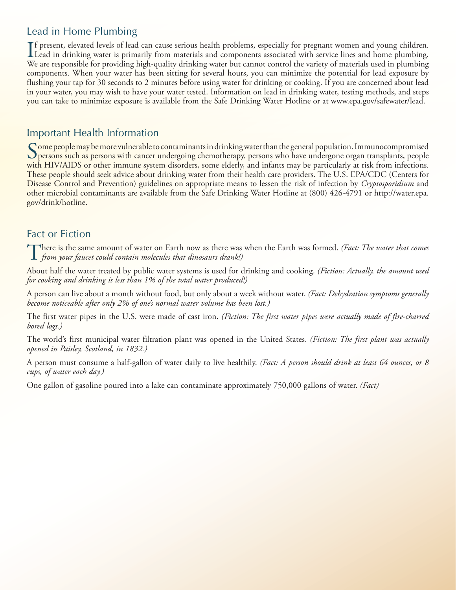# Lead in Home Plumbing

If present, elevated levels of lead can cause serious health problems, especially for pregnant women and young children.<br>Lead in drinking water is primarily from materials and components associated with service lines and h Lead in drinking water is primarily from materials and components associated with service lines and home plumbing. We are responsible for providing high-quality drinking water but cannot control the variety of materials used in plumbing components. When your water has been sitting for several hours, you can minimize the potential for lead exposure by flushing your tap for 30 seconds to 2 minutes before using water for drinking or cooking. If you are concerned about lead in your water, you may wish to have your water tested. Information on lead in drinking water, testing methods, and steps you can take to minimize exposure is available from the Safe Drinking Water Hotline or at www.epa.gov/safewater/lead.

### Important Health Information

Some people may be more vulnerable to contaminants in drinking water than the general population. Immunocompromised **O** persons such as persons with cancer undergoing chemotherapy, persons who have undergone organ transplants, people with HIV/AIDS or other immune system disorders, some elderly, and infants may be particularly at risk from infections. These people should seek advice about drinking water from their health care providers. The U.S. EPA/CDC (Centers for Disease Control and Prevention) guidelines on appropriate means to lessen the risk of infection by *Cryptosporidium* and other microbial contaminants are available from the Safe Drinking Water Hotline at (800) 426-4791 or http://water.epa. gov/drink/hotline.

## Fact or Fiction

There is the same amount of water on Earth now as there was when the Earth was formed. *(Fact: The water that comes from your faucet could contain molecules that dinosaurs drank!)*

About half the water treated by public water systems is used for drinking and cooking. *(Fiction: Actually, the amount used for cooking and drinking is less than 1% of the total water produced!)*

A person can live about a month without food, but only about a week without water. *(Fact: Dehydration symptoms generally become noticeable after only 2% of one's normal water volume has been lost.)*

The first water pipes in the U.S. were made of cast iron. *(Fiction: The first water pipes were actually made of fire-charred bored logs.)*

The world's first municipal water filtration plant was opened in the United States. *(Fiction: The first plant was actually opened in Paisley, Scotland, in 1832.)*

A person must consume a half-gallon of water daily to live healthily. *(Fact: A person should drink at least 64 ounces, or 8 cups, of water each day.)*

One gallon of gasoline poured into a lake can contaminate approximately 750,000 gallons of water. *(Fact)*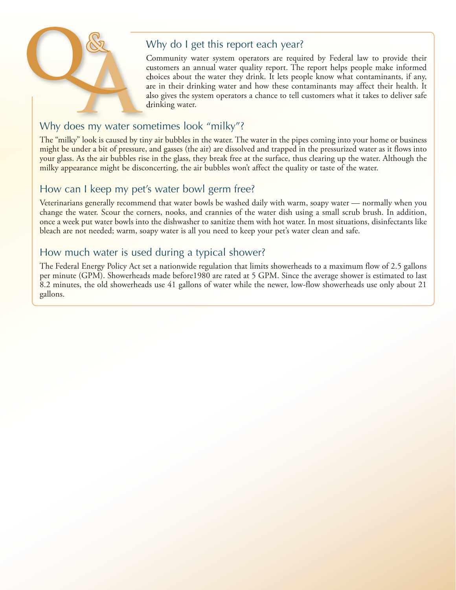

# Why do I get this report each year?

Community water system operators are required by Federal law to provide their customers an annual water quality report. The report helps people make informed choices about the water they drink. It lets people know what contaminants, if any, are in their drinking water and how these contaminants may affect their health. It also gives the system operators a chance to tell customers what it takes to deliver safe drinking water.

# Why does my water sometimes look "milky"?

The "milky" look is caused by tiny air bubbles in the water. The water in the pipes coming into your home or business might be under a bit of pressure, and gasses (the air) are dissolved and trapped in the pressurized water as it flows into your glass. As the air bubbles rise in the glass, they break free at the surface, thus clearing up the water. Although the milky appearance might be disconcerting, the air bubbles won't affect the quality or taste of the water.

## How can I keep my pet's water bowl germ free?

Veterinarians generally recommend that water bowls be washed daily with warm, soapy water — normally when you change the water. Scour the corners, nooks, and crannies of the water dish using a small scrub brush. In addition, once a week put water bowls into the dishwasher to sanitize them with hot water. In most situations, disinfectants like bleach are not needed; warm, soapy water is all you need to keep your pet's water clean and safe.

# How much water is used during a typical shower?

The Federal Energy Policy Act set a nationwide regulation that limits showerheads to a maximum flow of 2.5 gallons per minute (GPM). Showerheads made before1980 are rated at 5 GPM. Since the average shower is estimated to last 8.2 minutes, the old showerheads use 41 gallons of water while the newer, low-flow showerheads use only about 21 gallons.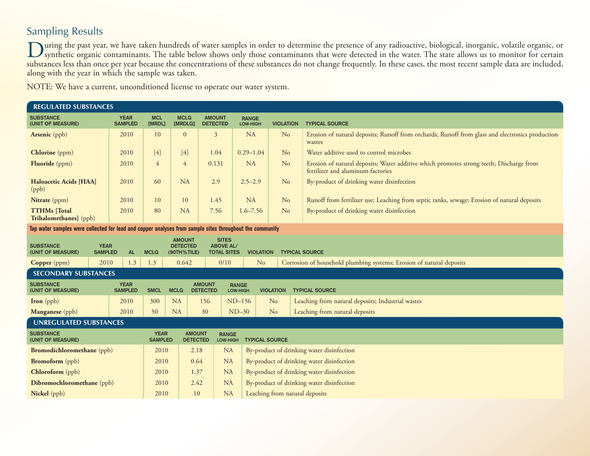# Sampling Results

During the past year, we have taken hundreds of water samples in order to determine the presence of any radioactive, biological, inorganic, volatile organic, or<br>synthetic organic contaminants. The table below shows only th substances less than once per year because the concentrations of these substances do not change frequently. In these cases, the most recent sample data are included, along with the year in which the sample was taken.

NOTE: We have a current, unconditioned license to operate our water system.

| <b>REGULATED SUBSTANCES</b>                                                                              |                               |                               |                                                 |                                                 |                                           |                                                                            |                                           |                                                                                                                              |
|----------------------------------------------------------------------------------------------------------|-------------------------------|-------------------------------|-------------------------------------------------|-------------------------------------------------|-------------------------------------------|----------------------------------------------------------------------------|-------------------------------------------|------------------------------------------------------------------------------------------------------------------------------|
| <b>SUBSTANCE</b><br>(UNIT OF MEASURE)                                                                    | <b>YEAR</b><br><b>SAMPLED</b> | <b>MCL</b><br>[MRDL]          | <b>MCLG</b><br>[MRDLG]                          | <b>AMOUNT</b><br><b>DETECTED</b>                |                                           | <b>RANGE</b><br>LOW-HIGH                                                   | <b>VIOLATION</b>                          | <b>TYPICAL SOURCE</b>                                                                                                        |
| Arsenic (ppb)                                                                                            | 2010                          | 10                            | $\mathbf{0}$                                    | $\mathfrak{Z}$                                  |                                           | <b>NA</b>                                                                  | No                                        | Erosion of natural deposits; Runoff from orchards; Runoff from glass and electronics production<br>wastes                    |
| <b>Chlorine</b> (ppm)                                                                                    | 2010                          | $[4]$                         | $[4]$                                           | 1.04                                            |                                           | $0.29 - 1.04$                                                              | N <sub>o</sub>                            | Water additive used to control microbes                                                                                      |
| <b>Fluoride</b> (ppm)                                                                                    | 2010                          | $\overline{4}$                | $\overline{4}$                                  | 0.131                                           |                                           | <b>NA</b>                                                                  | N <sub>o</sub>                            | Erosion of natural deposits; Water additive which promotes strong teeth; Discharge from<br>fertilizer and aluminum factories |
| <b>Haloacetic Acids [HAA]</b><br>(ppb)                                                                   | 2010                          | 60                            | <b>NA</b>                                       | 2.9                                             |                                           | $2.5 - 2.9$                                                                | N <sub>o</sub>                            | By-product of drinking water disinfection                                                                                    |
| Nitrate (ppm)                                                                                            | 2010                          | 10                            | 10                                              | 1.45                                            |                                           | <b>NA</b>                                                                  | No                                        | Runoff from fertilizer use; Leaching from septic tanks, sewage; Erosion of natural deposits                                  |
| <b>TTHMs</b> [Total<br>Trihalomethanes] (ppb)                                                            | 2010                          | 80                            | <b>NA</b>                                       | 7.56                                            |                                           | $1.6 - 7.56$                                                               | N <sub>o</sub>                            | By-product of drinking water disinfection                                                                                    |
| Tap water samples were collected for lead and copper analyses from sample sites throughout the community |                               |                               |                                                 |                                                 |                                           |                                                                            |                                           |                                                                                                                              |
| <b>SUBSTANCE</b><br><b>YEAR</b><br>(UNIT OF MEASURE)<br><b>SAMPLED</b>                                   | <b>AL</b>                     | <b>MCLG</b>                   |                                                 | <b>AMOUNT</b><br><b>DETECTED</b><br>(90TH%TILE) |                                           | <b>SITES</b><br><b>ABOVE AL/</b><br><b>TOTAL SITES</b><br><b>VIOLATION</b> |                                           | <b>TYPICAL SOURCE</b>                                                                                                        |
| 2010<br>Copper (ppm)                                                                                     | 1.3                           | 1.3                           | 0.642                                           |                                                 | 0/10                                      | N <sub>o</sub>                                                             |                                           | Corrosion of household plumbing systems; Erosion of natural deposits                                                         |
| <b>SECONDARY SUBSTANCES</b>                                                                              |                               |                               |                                                 |                                                 |                                           |                                                                            |                                           |                                                                                                                              |
| <b>SUBSTANCE</b><br><b>YEAR</b><br>(UNIT OF MEASURE)<br><b>SAMPLED</b>                                   |                               | <b>SMCL</b>                   | <b>AMOUNT</b><br><b>MCLG</b><br><b>DETECTED</b> |                                                 | <b>RANGE</b><br>LOW-HIGH                  |                                                                            | <b>VIOLATION</b>                          | <b>TYPICAL SOURCE</b>                                                                                                        |
| <b>Iron</b> (ppb)                                                                                        | 2010                          |                               | <b>NA</b>                                       | 156                                             | $ND-156$                                  |                                                                            | No                                        | Leaching from natural deposits; Industrial wastes                                                                            |
| Manganese (ppb)                                                                                          | 2010                          | 50                            | <b>NA</b>                                       | 30                                              | $ND-30$                                   |                                                                            | N <sub>o</sub>                            | Leaching from natural deposits                                                                                               |
| <b>UNREGULATED SUBSTANCES</b>                                                                            |                               |                               |                                                 |                                                 |                                           |                                                                            |                                           |                                                                                                                              |
| <b>SUBSTANCE</b><br>(UNIT OF MEASURE)                                                                    |                               | <b>YEAR</b><br><b>SAMPLED</b> |                                                 | <b>AMOUNT</b><br><b>DETECTED</b>                | <b>RANGE</b><br>LOW-HIGH                  | <b>TYPICAL SOURCE</b>                                                      |                                           |                                                                                                                              |
| <b>Bromodichloromethane</b> (ppb)                                                                        | 2010                          |                               | 2.18                                            | <b>NA</b>                                       | By-product of drinking water disinfection |                                                                            |                                           |                                                                                                                              |
| <b>Bromoform</b> (ppb)                                                                                   | 2010                          |                               | 0.64                                            | <b>NA</b>                                       |                                           |                                                                            | By-product of drinking water disinfection |                                                                                                                              |
| Chloroform (ppb)                                                                                         | 2010                          |                               | <b>NA</b><br>1.37                               |                                                 | By-product of drinking water disinfection |                                                                            |                                           |                                                                                                                              |
| Dibromochloromethane (ppb)                                                                               | 2010                          |                               | 2.42                                            | <b>NA</b>                                       |                                           | By-product of drinking water disinfection                                  |                                           |                                                                                                                              |
| Nickel (ppb)                                                                                             |                               | 2010                          |                                                 | <b>NA</b>                                       |                                           | Leaching from natural deposits                                             |                                           |                                                                                                                              |